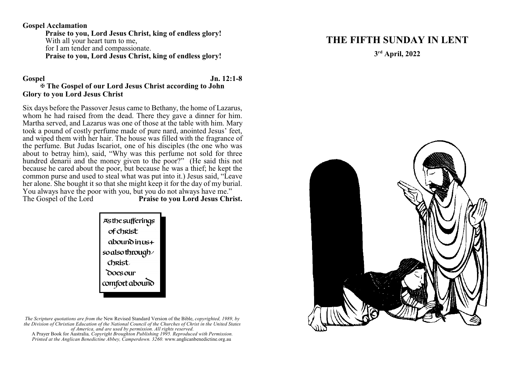#### **Gospel Acclamation**

**Praise to you, Lord Jesus Christ, king of endless glory!** With all your heart turn to me, for I am tender and compassionate. **Praise to you, Lord Jesus Christ, king of endless glory!**

#### **Gospel Jn. 12:1-8** a **The Gospel of our Lord Jesus Christ according to John Glory to you Lord Jesus Christ**

Six days before the Passover Jesus came to Bethany, the home of Lazarus, whom he had raised from the dead. There they gave a dinner for him. Martha served, and Lazarus was one of those at the table with him. Mary took a pound of costly perfume made of pure nard, anointed Jesus' feet, and wiped them with her hair. The house was filled with the fragrance of the perfume. But Judas Iscariot, one of his disciples (the one who was about to betray him), said, "Why was this perfume not sold for three hundred denarii and the money given to the poor?" (He said this not because he cared about the poor, but because he was a thief; he kept the common purse and used to steal what was put into it.) Jesus said, "Leave her alone. She bought it so that she might keep it for the day of my burial. You always have the poor with you, but you do not always have me."<br>The Gospel of the Lord **Praise to you Lord Jesus Chri** Praise to you Lord Jesus Christ.



*The Scripture quotations are from the* New Revised Standard Version of the Bible, *copyrighted, 1989, by the Division of Christian Education of the National Council of the Churches of Christ in the United States of America, and are used by permission. All rights reserved.*

A Prayer Book for Australia*, Copyright Broughton Publishing 1995. Reproduced with Permission. Printed at the Anglican Benedictine Abbey, Camperdown. 3260.* www.anglicanbenedictine.org.au

# **THE FIFTH SUNDAY IN LENT**

**3 rd April, 2022**